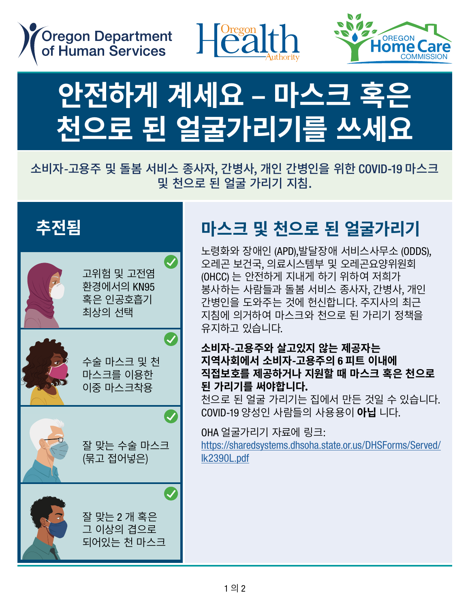





# 안전하게 계세요 – 마스크 혹은<br>+! < = =! <! = =! =!=! = ···· .<br><u>천으로 된 얼굴가리기를 쓰세요</u>

### 소비자-고용주 및 돌봄 서비스 종사자, 간병사, 개인 간병인을 위한 COVID-19 마스크  $\Sigma$  =  $\sim$  2011  $\lambda$  같은 아기를 8아이, COM, 에는 난 SCL을 11만 ssvib 15 미드드 homecare workers, personal support workers, and personal care attendants. . 그리지 고등 1 - 동 글을 쓰리는 용색적, 단용색, 제대 단응단을 표면 6000-13 -1.<br>- 및 천으로 된 얼굴 가리기 지침.<br>-





### **마스크 및 천으로 된 얼굴가리기** Masks and cloth face coverings Masks and cloth face coverings Masks and cloth face coverings \_ 마스크 및 <mark>신</mark>으도 된 일굴가디

노령화와 장애인 (APD),발달장애 서비스사무소 (ODDS), 노승파파 승에는(Ai Dj,클클승에 시비스시구도(ODL<br>오레곤 보건국, 의료시스템부 및 오레곤요양위원회 — "는 ㅡᆮ ", "ㅡ "ㅡᆮ", ◇ ㅡ "ㄴㅡᆼ'!'ㄴ'<br>(OHCC) 는 안전하게 지내게 하기 위하여 저희가 .(Unco) 는 한한이게 시대게 이거 귀이어 시의가<br>봉사하는 사람들과 돌봄 서비스 종사자, 간병사, 개인<br>강변인을 도안주는 것엔 항신합니다. 조건님인 친구 간병인을 도와주는 것에 헌신합니다. 주지사의 최근 (OHCC) are committed to helping the people we (OHCC) are committed to helping the people we 지침에 의거하여 마스크와 천으로 된 가리기 정책을 유지하고 있습니다. serve and homecare workers, personal support , 단 G L 글 エ 나 구는 것에 인 단 답 니 니 , 구 시 시 긔 피 ㄴ<br>- 지치에 이 거하여 마 스 크 아 처 O ㄹ 되 가 리 기 저채 을 serve and homecare workers, personal support serve and homecare workers, personal support 유지하고 있습니다.<br>-노령화와 장애인 (APD),발달장애 서비스사무소 (OD 오레곤 보건국, 의료시스템부 및 오레곤요양위원회<br>(OUON 는 아저치게 지내게 치기 있치여 지휘기 (OHCC) are committed to helping the people we \_ 간명인들 노와수는 것에 언신입니다. 수시사의 쇠근<br>\_ 지치에 이고치어 마시크이 쳐오르 되 기기기 저채요 - 쓰라에 라시아의 라그그라 코그도 큰 시티시 ㅎㅋㅋ<br>- 오지하고 있습니다

#### **소비자-고용주와 살고있지 않는 제공자는 지역사회에서 소비자-고용주의** 6 **피트 이내에**  <u>지금까지 포기자 도</u>용구리 8기도 하게 해<br>직접보호를 제공하거나 지원할 때 마스크 혹은 천으로 . - \_<br>된 가리기를 써야합니다.  $\overline{M}$  which personal care at the personal care at the stars to stay  $\overline{M}$ 오미시-고승누지 글고갔시 많는 세승시는<br>- 지여 나위에서 거비과 그용소이 이미트 이내에 safe. Based on the Governor's current guidance safe. Based on the Governor's current guidance safe. Based on the Governor's current guidance we are maintaining a mask and cloth face we are maintaining a mask and cloth face 지극시되에서 그<br>직접보호를 제공<br>El 김리기를 써 \_ 소비사-고풍수와 알고있시 않은 세공사는<br>\_ 지연 나치에 난 소비된 그요조이 c 피트 이내에

**된 가리기들 써야합니다.**<br>천으로 된 얼굴 가리기는 집에서 만든 것일 수 있습니다. COVID-19 양성인 사람들의 사용용이 **아닙** 니다. - 인으로 된 글을 거니거든 답에서 된든 것을 구 *)*<br>- COVID-10 야서이 자라드이 자요요이 **아닌** LIFE consumer-employer must wear a mask or consumer-employer must wear a mask or consumer-employer must wear a mask or - 선으도 된 일굴 가디기는 십에서 만든 것일 수 있습.<br>- COVID 10 OE서이 지라드아 지요요이 **OLLI**TICL  $\frac{1}{2}$  covid-19 and covering and providing  $\frac{1}{2}$  of  $\frac{1}{2}$  and  $\frac{1}{2}$  and  $\frac{1}{2}$  and  $\frac{1}{2}$  and  $\frac{1}{2}$ 

OHA 얼굴가리기 자료에 링크: https://sharedsystems.dhsoha.state.or.us/DHSForms/Served/ <u>[lk2390L.pdf](https://sharedsystems.dhsoha.state.or.us/DHSForms/Served/lk2390L.pdf)</u> cloth face covering when providing any inperson care with 6.1.<br>https://sharedsystems.dhsoha.state.or.us/DHSForms/Ser exployer or when supporting them in the minimal supporting them in the minimal supporting them in the minimal support of  $\mathcal{L}_1$ <code>OHA</code> 얼굴가리기 자료에 링크: within  $\sim$   $\sim$   $\sim$ employer or when supporting them in the community. Community coverings can be considered as  $\alpha$  before considerable coverings can be considered as  $\alpha$ 

Served<sup>1</sup>le2390L.pdf